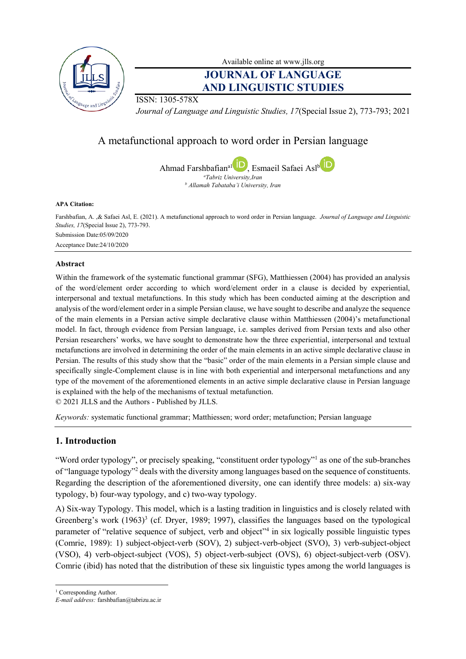

Available online at [www.jlls.org](http://www.jlls.org/)

# **JOURNAL OF LANGUAGE AND LINGUISTIC STUDIES**

ISSN: 1305-578X

*Journal of Language and Linguistic Studies, 17*(Special Issue 2), 773-793; 2021

# A metafunctional approach to word order in Persian language

Ahmad Farshbafian<sup>a1</sup> , Esmaeil Safaei Asl<sup>[b](https://orcid.org/0000-0003-2344-8441)</sup> D *<sup>a</sup>Tabriz University,Iran <sup>b</sup> Allamah Tabataba'i University, Iran*

#### **APA Citation:**

Farshbafian, A. ,& Safaei Asl, E. (2021). A metafunctional approach to word order in Persian language. *Journal of Language and Linguistic Studies, 17*(Special Issue 2), 773-793. Submission Date:05/09/2020 Acceptance Date:24/10/2020

#### **Abstract**

Within the framework of the systematic functional grammar (SFG), Matthiessen (2004) has provided an analysis of the word/element order according to which word/element order in a clause is decided by experiential, interpersonal and textual metafunctions. In this study which has been conducted aiming at the description and analysis of the word/element order in a simple Persian clause, we have sought to describe and analyze the sequence of the main elements in a Persian active simple declarative clause within Matthiessen (2004)'s metafunctional model. In fact, through evidence from Persian language, i.e. samples derived from Persian texts and also other Persian researchers' works, we have sought to demonstrate how the three experiential, interpersonal and textual metafunctions are involved in determining the order of the main elements in an active simple declarative clause in Persian. The results of this study show that the "basic" order of the main elements in a Persian simple clause and specifically single-Complement clause is in line with both experiential and interpersonal metafunctions and any type of the movement of the aforementioned elements in an active simple declarative clause in Persian language is explained with the help of the mechanisms of textual metafunction.

© 2021 JLLS and the Authors - Published by JLLS.

*Keywords:* systematic functional grammar; Matthiessen; word order; metafunction; Persian language

## **1. Introduction**

"Word order typology", or precisely speaking, "constituent order typology"<sup>1</sup> as one of the sub-branches of "language typology"<sup>2</sup> deals with the diversity among languages based on the sequence of constituents. Regarding the description of the aforementioned diversity, one can identify three models: a) six-way typology, b) four-way typology, and c) two-way typology.

A) Six-way Typology. This model, which is a lasting tradition in linguistics and is closely related with Greenberg's work  $(1963)^3$  (cf. Dryer, 1989; 1997), classifies the languages based on the typological parameter of "relative sequence of subject, verb and object"<sup>4</sup> in six logically possible linguistic types (Comrie, 1989): 1) subject-object-verb (SOV), 2) subject-verb-object (SVO), 3) verb-subject-object (VSO), 4) verb-object-subject (VOS), 5) object-verb-subject (OVS), 6) object-subject-verb (OSV). Comrie (ibid) has noted that the distribution of these six linguistic types among the world languages is

 $\overline{a}$ <sup>1</sup> Corresponding Author.

*E-mail address:* farshbafian@tabrizu.ac.ir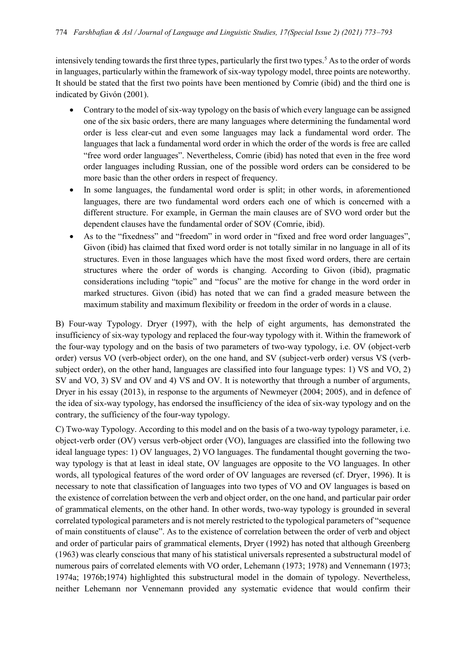intensively tending towards the first three types, particularly the first two types.<sup>5</sup> As to the order of words in languages, particularly within the framework of six-way typology model, three points are noteworthy. It should be stated that the first two points have been mentioned by Comrie (ibid) and the third one is indicated by Givón (2001).

- Contrary to the model of six-way typology on the basis of which every language can be assigned one of the six basic orders, there are many languages where determining the fundamental word order is less clear-cut and even some languages may lack a fundamental word order. The languages that lack a fundamental word order in which the order of the words is free are called "free word order languages". Nevertheless, Comrie (ibid) has noted that even in the free word order languages including Russian, one of the possible word orders can be considered to be more basic than the other orders in respect of frequency.
- In some languages, the fundamental word order is split; in other words, in aforementioned languages, there are two fundamental word orders each one of which is concerned with a different structure. For example, in German the main clauses are of SVO word order but the dependent clauses have the fundamental order of SOV (Comrie, ibid).
- As to the "fixedness" and "freedom" in word order in "fixed and free word order languages", Givon (ibid) has claimed that fixed word order is not totally similar in no language in all of its structures. Even in those languages which have the most fixed word orders, there are certain structures where the order of words is changing. According to Givon (ibid), pragmatic considerations including "topic" and "focus" are the motive for change in the word order in marked structures. Givon (ibid) has noted that we can find a graded measure between the maximum stability and maximum flexibility or freedom in the order of words in a clause.

B) Four-way Typology. Dryer (1997), with the help of eight arguments, has demonstrated the insufficiency of six-way typology and replaced the four-way typology with it. Within the framework of the four-way typology and on the basis of two parameters of two-way typology, i.e. OV (object-verb order) versus VO (verb-object order), on the one hand, and SV (subject-verb order) versus VS (verbsubject order), on the other hand, languages are classified into four language types: 1) VS and VO, 2) SV and VO, 3) SV and OV and 4) VS and OV. It is noteworthy that through a number of arguments, Dryer in his essay (2013), in response to the arguments of Newmeyer (2004; 2005), and in defence of the idea of six-way typology, has endorsed the insufficiency of the idea of six-way typology and on the contrary, the sufficiency of the four-way typology.

C) Two-way Typology. According to this model and on the basis of a two-way typology parameter, i.e. object-verb order (OV) versus verb-object order (VO), languages are classified into the following two ideal language types: 1) OV languages, 2) VO languages. The fundamental thought governing the twoway typology is that at least in ideal state, OV languages are opposite to the VO languages. In other words, all typological features of the word order of OV languages are reversed (cf. Dryer, 1996). It is necessary to note that classification of languages into two types of VO and OV languages is based on the existence of correlation between the verb and object order, on the one hand, and particular pair order of grammatical elements, on the other hand. In other words, two-way typology is grounded in several correlated typological parameters and is not merely restricted to the typological parameters of "sequence of main constituents of clause". As to the existence of correlation between the order of verb and object and order of particular pairs of grammatical elements, Dryer (1992) has noted that although Greenberg (1963) was clearly conscious that many of his statistical universals represented a substructural model of numerous pairs of correlated elements with VO order, Lehemann (1973; 1978) and Vennemann (1973; 1974a; 1976b;1974) highlighted this substructural model in the domain of typology. Nevertheless, neither Lehemann nor Vennemann provided any systematic evidence that would confirm their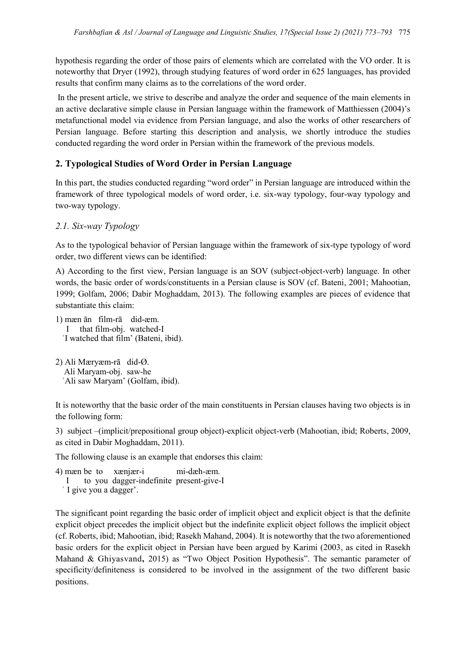hypothesis regarding the order of those pairs of elements which are correlated with the VO order. It is noteworthy that Dryer (1992), through studying features of word order in 625 languages, has provided results that confirm many claims as to the correlations of the word order.

In the present article, we strive to describe and analyze the order and sequence of the main elements in an active declarative simple clause in Persian language within the framework of Matthiessen (2004)'s metafunctional model via evidence from Persian language, and also the works of other researchers of Persian language. Before starting this description and analysis, we shortly introduce the studies conducted regarding the word order in Persian within the framework of the previous models.

## **2. Typological Studies of Word Order in Persian Language**

In this part, the studies conducted regarding "word order" in Persian language are introduced within the framework of three typological models of word order, i.e. six-way typology, four-way typology and two-way typology.

## *2.1. Six-way Typology*

As to the typological behavior of Persian language within the framework of six-type typology of word order, two different views can be identified:

A) According to the first view, Persian language is an SOV (subject-object-verb) language. In other words, the basic order of words/constituents in a Persian clause is SOV (cf. Bateni, 2001; Mahootian, 1999; Golfam, 2006; Dabir Moghaddam, 2013). The following examples are pieces of evidence that substantiate this claim:

- 1) mæn ān film-rā did-æm. I that film-obj. watched-I ʿI watched that film' (Bateni, ibid).
- 2) Ali Mæryæm-rā did-Ø. Ali Maryam-obj. saw-he ʿAli saw Maryam' (Golfam, ibid).

It is noteworthy that the basic order of the main constituents in Persian clauses having two objects is in the following form:

3) subject –(implicit/prepositional group object)-explicit object-verb (Mahootian, ibid; Roberts, 2009, as cited in Dabir Moghaddam, 2011).

The following clause is an example that endorses this claim:

4) mæn be to xænjær-i mi-dæh-æm. I to you dagger-indefinite present-give-I ʿ I give you a dagger'.

The significant point regarding the basic order of implicit object and explicit object is that the definite explicit object precedes the implicit object but the indefinite explicit object follows the implicit object (cf. Roberts, ibid; Mahootian, ibid; Rasekh Mahand, 2004). It is noteworthy that the two aforementioned basic orders for the explicit object in Persian have been argued by Karimi (2003, as cited in Rasekh Mahand & Ghiyasvand**,** 2015) as "Two Object Position Hypothesis". The semantic parameter of specificity/definiteness is considered to be involved in the assignment of the two different basic positions.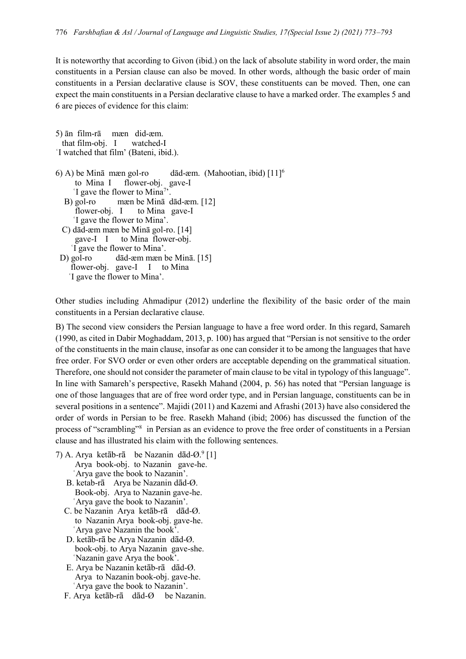It is noteworthy that according to Givon (ibid.) on the lack of absolute stability in word order, the main constituents in a Persian clause can also be moved. In other words, although the basic order of main constituents in a Persian declarative clause is SOV, these constituents can be moved. Then, one can expect the main constituents in a Persian declarative clause to have a marked order. The examples 5 and 6 are pieces of evidence for this claim:

| 5) ān film-rā mæn did-æm.<br>that film-obj. I watched-I       |
|---------------------------------------------------------------|
| 'I watched that film' (Bateni, ibid.).                        |
| 6) A) be Minā mæn gol-ro dād-æm. (Mahootian, ibid) $[11]^{6}$ |
| to Mina I flower-obj. gave-I                                  |
| 'I gave the flower to Mina <sup>7</sup> '.                    |
| B) gol-ro mæn be Mina dad-æm. $[12]$                          |
| flower-obj. I to Mina gave-I                                  |
| I gave the flower to Mina'.                                   |
| C) dād-æm mæn be Minā gol-ro. [14]                            |
| gave-I I to Mina flower-obj.                                  |
| I gave the flower to Mina'.                                   |
| D) gol-ro dād-æm mæn be Minā. [15]                            |
| flower-obj. gave-I I to Mina                                  |
| 'I gave the flower to Mina'.                                  |

Other studies including Ahmadipur (2012) underline the flexibility of the basic order of the main constituents in a Persian declarative clause.

B) The second view considers the Persian language to have a free word order. In this regard, Samareh (1990, as cited in Dabir Moghaddam, 2013, p. 100) has argued that "Persian is not sensitive to the order of the constituents in the main clause, insofar as one can consider it to be among the languages that have free order. For SVO order or even other orders are acceptable depending on the grammatical situation. Therefore, one should not consider the parameter of main clause to be vital in typology of this language". In line with Samareh's perspective, Rasekh Mahand (2004, p. 56) has noted that "Persian language is one of those languages that are of free word order type, and in Persian language, constituents can be in several positions in a sentence". Majidi (2011) and Kazemi and Afrashi (2013) have also considered the order of words in Persian to be free. Rasekh Mahand (ibid; 2006) has discussed the function of the process of "scrambling"<sup>8</sup> in Persian as an evidence to prove the free order of constituents in a Persian clause and has illustrated his claim with the following sentences.

- 7) A. Arya ketāb-rā be Nazanin dād- $\mathcal{O}$ .<sup>9</sup> [1] Arya book-obj. to Nazanin gave-he. ʿArya gave the book to Nazanin'.
	- B. ketab-rā Arya be Nazanin dād-Ø. Book-obj. Arya to Nazanin gave-he. ʿArya gave the book to Nazanin'.
	- C. be Nazanin Arya ketāb-rā dād-Ø. to Nazanin Arya book-obj. gave-he. ʿArya gave Nazanin the book'.
	- D. ketāb-rā be Arya Nazanin dād-Ø. book-obj. to Arya Nazanin gave-she. 'Nazanin gave Arya the book'.
	- E. Arya be Nazanin ketāb-rā dād-Ø. Arya to Nazanin book-obj. gave-he. ʿArya gave the book to Nazanin'.
	- F. Arya ketāb-rā dād-Ø be Nazanin.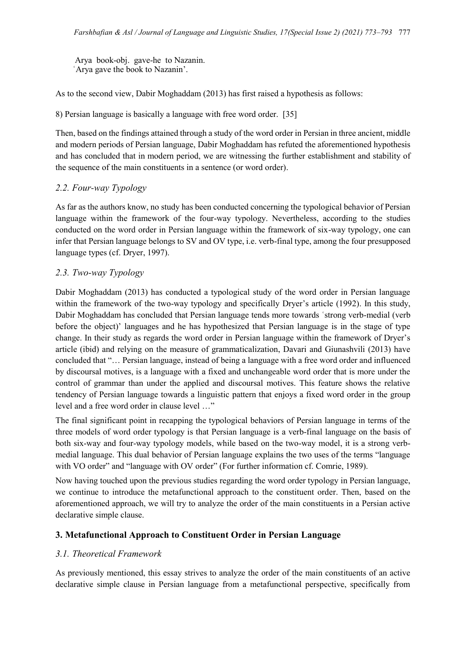Arya book-obj. gave-he to Nazanin. ʿArya gave the book to Nazanin'.

As to the second view, Dabir Moghaddam (2013) has first raised a hypothesis as follows:

8) Persian language is basically a language with free word order. [35]

Then, based on the findings attained through a study of the word order in Persian in three ancient, middle and modern periods of Persian language, Dabir Moghaddam has refuted the aforementioned hypothesis and has concluded that in modern period, we are witnessing the further establishment and stability of the sequence of the main constituents in a sentence (or word order).

### *2.2. Four-way Typology*

As far as the authors know, no study has been conducted concerning the typological behavior of Persian language within the framework of the four-way typology. Nevertheless, according to the studies conducted on the word order in Persian language within the framework of six-way typology, one can infer that Persian language belongs to SV and OV type, i.e. verb-final type, among the four presupposed language types (cf. Dryer, 1997).

### *2.3. Two-way Typology*

Dabir Moghaddam (2013) has conducted a typological study of the word order in Persian language within the framework of the two-way typology and specifically Dryer's article (1992). In this study, Dabir Moghaddam has concluded that Persian language tends more towards ʿstrong verb-medial (verb before the object)' languages and he has hypothesized that Persian language is in the stage of type change. In their study as regards the word order in Persian language within the framework of Dryer's article (ibid) and relying on the measure of grammaticalization, Davari and Giunashvili (2013) have concluded that "… Persian language, instead of being a language with a free word order and influenced by discoursal motives, is a language with a fixed and unchangeable word order that is more under the control of grammar than under the applied and discoursal motives. This feature shows the relative tendency of Persian language towards a linguistic pattern that enjoys a fixed word order in the group level and a free word order in clause level …"

The final significant point in recapping the typological behaviors of Persian language in terms of the three models of word order typology is that Persian language is a verb-final language on the basis of both six-way and four-way typology models, while based on the two-way model, it is a strong verbmedial language. This dual behavior of Persian language explains the two uses of the terms "language with VO order" and "language with OV order" (For further information cf. Comrie, 1989).

Now having touched upon the previous studies regarding the word order typology in Persian language, we continue to introduce the metafunctional approach to the constituent order. Then, based on the aforementioned approach, we will try to analyze the order of the main constituents in a Persian active declarative simple clause.

### **3. Metafunctional Approach to Constituent Order in Persian Language**

### *3.1. Theoretical Framework*

As previously mentioned, this essay strives to analyze the order of the main constituents of an active declarative simple clause in Persian language from a metafunctional perspective, specifically from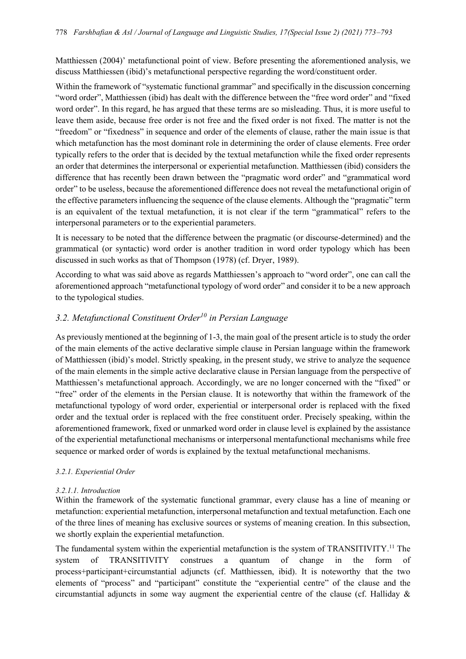Matthiessen (2004)' metafunctional point of view. Before presenting the aforementioned analysis, we discuss Matthiessen (ibid)'s metafunctional perspective regarding the word/constituent order.

Within the framework of "systematic functional grammar" and specifically in the discussion concerning "word order", Matthiessen (ibid) has dealt with the difference between the "free word order" and "fixed word order". In this regard, he has argued that these terms are so misleading. Thus, it is more useful to leave them aside, because free order is not free and the fixed order is not fixed. The matter is not the "freedom" or "fixedness" in sequence and order of the elements of clause, rather the main issue is that which metafunction has the most dominant role in determining the order of clause elements. Free order typically refers to the order that is decided by the textual metafunction while the fixed order represents an order that determines the interpersonal or experiential metafunction. Matthiessen (ibid) considers the difference that has recently been drawn between the "pragmatic word order" and "grammatical word order" to be useless, because the aforementioned difference does not reveal the metafunctional origin of the effective parameters influencing the sequence of the clause elements. Although the "pragmatic" term is an equivalent of the textual metafunction, it is not clear if the term "grammatical" refers to the interpersonal parameters or to the experiential parameters.

It is necessary to be noted that the difference between the pragmatic (or discourse-determined) and the grammatical (or syntactic) word order is another tradition in word order typology which has been discussed in such works as that of Thompson (1978) (cf. Dryer, 1989).

According to what was said above as regards Matthiessen's approach to "word order", one can call the aforementioned approach "metafunctional typology of word order" and consider it to be a new approach to the typological studies.

## *3.2. Metafunctional Constituent Order<sup>10</sup> in Persian Language*

As previously mentioned at the beginning of 1-3, the main goal of the present article is to study the order of the main elements of the active declarative simple clause in Persian language within the framework of Matthiessen (ibid)'s model. Strictly speaking, in the present study, we strive to analyze the sequence of the main elements in the simple active declarative clause in Persian language from the perspective of Matthiessen's metafunctional approach. Accordingly, we are no longer concerned with the "fixed" or "free" order of the elements in the Persian clause. It is noteworthy that within the framework of the metafunctional typology of word order, experiential or interpersonal order is replaced with the fixed order and the textual order is replaced with the free constituent order. Precisely speaking, within the aforementioned framework, fixed or unmarked word order in clause level is explained by the assistance of the experiential metafunctional mechanisms or interpersonal mentafunctional mechanisms while free sequence or marked order of words is explained by the textual metafunctional mechanisms.

### *3.2.1. Experiential Order*

## *3.2.1.1. Introduction*

Within the framework of the systematic functional grammar, every clause has a line of meaning or metafunction: experiential metafunction, interpersonal metafunction and textual metafunction. Each one of the three lines of meaning has exclusive sources or systems of meaning creation. In this subsection, we shortly explain the experiential metafunction.

The fundamental system within the experiential metafunction is the system of TRANSITIVITY.<sup>11</sup> The system of TRANSITIVITY construes a quantum of change in the form of process+participant+circumstantial adjuncts (cf. Matthiessen, ibid). It is noteworthy that the two elements of "process" and "participant" constitute the "experiential centre" of the clause and the circumstantial adjuncts in some way augment the experiential centre of the clause (cf. Halliday &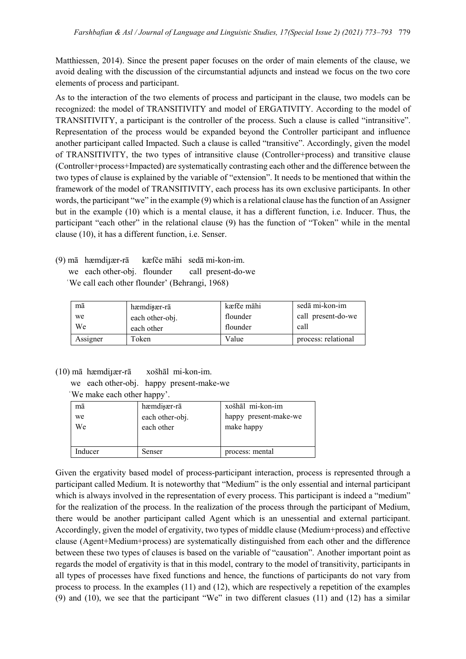Matthiessen, 2014). Since the present paper focuses on the order of main elements of the clause, we avoid dealing with the discussion of the circumstantial adjuncts and instead we focus on the two core elements of process and participant.

As to the interaction of the two elements of process and participant in the clause, two models can be recognized: the model of TRANSITIVITY and model of ERGATIVITY. According to the model of TRANSITIVITY, a participant is the controller of the process. Such a clause is called "intransitive". Representation of the process would be expanded beyond the Controller participant and influence another participant called Impacted. Such a clause is called "transitive". Accordingly, given the model of TRANSITIVITY, the two types of intransitive clause (Controller+process) and transitive clause (Controller+process+Impacted) are systematically contrasting each other and the difference between the two types of clause is explained by the variable of "extension". It needs to be mentioned that within the framework of the model of TRANSITIVITY, each process has its own exclusive participants. In other words, the participant "we" in the example (9) which is a relational clause has the function of an Assigner but in the example (10) which is a mental clause, it has a different function, i.e. Inducer. Thus, the participant "each other" in the relational clause (9) has the function of "Token" while in the mental clause (10), it has a different function, i.e. Senser.

(9) mā hæmdiɟær-rā kæfče māhi sedā mi-kon-im. we each other-obj. flounder call present-do-we ʿWe call each other flounder' (Behrangi, 1968)

| mā       | hæmditær-rā     | kæfče māhi | sedā mi-kon-im      |
|----------|-----------------|------------|---------------------|
| we       | each other-obj. | flounder   | call present-do-we  |
| We       | each other      | flounder   | call                |
| Assigner | Token           | Value      | process: relational |

(10) mā hæmdiɟær-rā xošhāl mi-kon-im.

we each other-obj. happy present-make-we

ʿWe make each other happy'.

| mā       | hæmdi <sub>t</sub> ær-rā      | xošhāl mi-kon-im                    |
|----------|-------------------------------|-------------------------------------|
| we<br>We | each other-obj.<br>each other | happy present-make-we<br>make happy |
|          |                               |                                     |
| Inducer  | Senser                        | process: mental                     |

Given the ergativity based model of process-participant interaction, process is represented through a participant called Medium. It is noteworthy that "Medium" is the only essential and internal participant which is always involved in the representation of every process. This participant is indeed a "medium" for the realization of the process. In the realization of the process through the participant of Medium, there would be another participant called Agent which is an unessential and external participant. Accordingly, given the model of ergativity, two types of middle clause (Medium+process) and effective clause (Agent+Medium+process) are systematically distinguished from each other and the difference between these two types of clauses is based on the variable of "causation". Another important point as regards the model of ergativity is that in this model, contrary to the model of transitivity, participants in all types of processes have fixed functions and hence, the functions of participants do not vary from process to process. In the examples (11) and (12), which are respectively a repetition of the examples (9) and (10), we see that the participant "We" in two different clasues (11) and (12) has a similar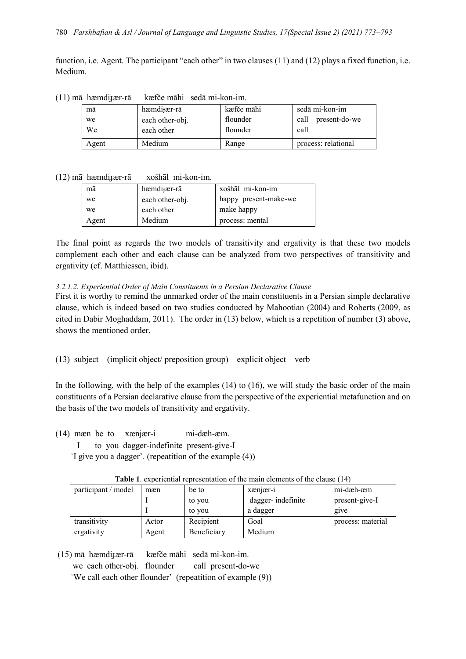function, i.e. Agent. The participant "each other" in two clauses (11) and (12) plays a fixed function, i.e. Medium.

| (II) ma hæmdifær-ra |    |                          | kætce mahi seda mi-kon-im. |            |  |
|---------------------|----|--------------------------|----------------------------|------------|--|
|                     | mā | hæmdi <sub>t</sub> ær-rā |                            | kæfče māhi |  |

| $(11)$ mā hæmdijær-rā | kæfče māhi sedā mi-kon-im. |
|-----------------------|----------------------------|
|-----------------------|----------------------------|

| mā    | hæmdi <sub>t</sub> ær-rā | kæfče māhi | sedā mi-kon-im        |
|-------|--------------------------|------------|-----------------------|
| we    | each other-obj.          | flounder   | present-do-we<br>call |
| We    | each other               | flounder   | call                  |
| Agent | Medium                   | Range      | process: relational   |

#### (12) mā hæmdiɟær-rā xošhāl mi-kon-im.

| mā    | hæmdi <sub>t</sub> ær-rā | xošhāl mi-kon-im      |
|-------|--------------------------|-----------------------|
| we    | each other-obj.          | happy present-make-we |
| we    | each other               | make happy            |
| Agent | Medium                   | process: mental       |

The final point as regards the two models of transitivity and ergativity is that these two models complement each other and each clause can be analyzed from two perspectives of transitivity and ergativity (cf. Matthiessen, ibid).

#### *3.2.1.2. Experiential Order of Main Constituents in a Persian Declarative Clause*

First it is worthy to remind the unmarked order of the main constituents in a Persian simple declarative clause, which is indeed based on two studies conducted by Mahootian (2004) and Roberts (2009, as cited in Dabir Moghaddam, 2011). The order in (13) below, which is a repetition of number (3) above, shows the mentioned order.

(13) subject – (implicit object/ preposition group) – explicit object – verb

In the following, with the help of the examples  $(14)$  to  $(16)$ , we will study the basic order of the main constituents of a Persian declarative clause from the perspective of the experiential metafunction and on the basis of the two models of transitivity and ergativity.

(14) mæn be to xænjær-i mi-dæh-æm.

I to you dagger-indefinite present-give-I

ʿI give you a dagger'. (repeatition of the example (4))

| participant / model | mæn   | be to       | $x \times n \times r - 1$ | mi-dæh-æm         |
|---------------------|-------|-------------|---------------------------|-------------------|
|                     |       | to you      | dagger-indefinite         | present-give-I    |
|                     |       | to you      | a dagger                  | give              |
| transitivity        | Actor | Recipient   | Goal                      | process: material |
| ergativity          | Agent | Beneficiary | Medium                    |                   |

**Table 1**. experiential representation of the main elements of the clause (14)

(15) mā hæmdiɟær-rā kæfče māhi sedā mi-kon-im.

we each other-obj. flounder call present-do-we

ʿWe call each other flounder' (repeatition of example (9))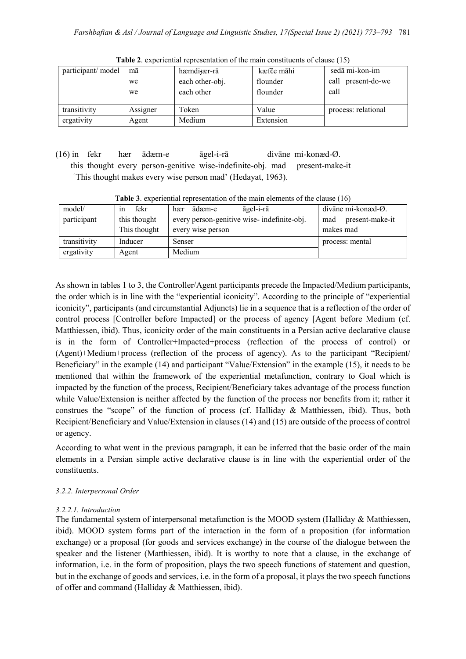| participant/ model | mā       | hæmdi <sub>t</sub> ær-rā | kæfče māhi | sedā mi-kon-im        |
|--------------------|----------|--------------------------|------------|-----------------------|
|                    | we       | each other-obj.          | flounder   | present-do-we<br>call |
|                    | we       | each other               | flounder   | call                  |
|                    |          |                          |            |                       |
| transitivity       | Assigner | Token                    | Value      | process: relational   |
| ergativity         | Agent    | Medium                   | Extension  |                       |

**Table 2**. experiential representation of the main constituents of clause (15)

(16) in fekr hær ādæm-e āgel-i-rā divāne mi-konæd-Ø. this thought every person-genitive wise-indefinite-obj. mad present-make-it ʿThis thought makes every wise person mad' (Hedayat, 1963).

| model/       | fekr<br>1n   | āgel-i-rā<br>ādæm-e<br>hær                 | divāne mi-konæd- $\varnothing$ . |  |  |  |  |
|--------------|--------------|--------------------------------------------|----------------------------------|--|--|--|--|
| participant  | this thought | every person-genitive wise-indefinite-obj. | present-make-it<br>mad           |  |  |  |  |
|              | This thought | every wise person                          | makes mad                        |  |  |  |  |
| transitivity | Inducer      | Senser                                     | process: mental                  |  |  |  |  |
| ergativity   | Agent        | Medium                                     |                                  |  |  |  |  |

**Table 3**. experiential representation of the main elements of the clause (16)

As shown in tables 1 to 3, the Controller/Agent participants precede the Impacted/Medium participants, the order which is in line with the "experiential iconicity". According to the principle of "experiential iconicity", participants (and circumstantial Adjuncts) lie in a sequence that is a reflection of the order of control process [Controller before Impacted] or the process of agency [Agent before Medium (cf. Matthiessen, ibid). Thus, iconicity order of the main constituents in a Persian active declarative clause is in the form of Controller+Impacted+process (reflection of the process of control) or (Agent)+Medium+process (reflection of the process of agency). As to the participant "Recipient/ Beneficiary" in the example (14) and participant "Value/Extension" in the example (15), it needs to be mentioned that within the framework of the experiential metafunction, contrary to Goal which is impacted by the function of the process, Recipient/Beneficiary takes advantage of the process function while Value/Extension is neither affected by the function of the process nor benefits from it; rather it construes the "scope" of the function of process (cf. Halliday & Matthiessen, ibid). Thus, both Recipient/Beneficiary and Value/Extension in clauses (14) and (15) are outside of the process of control or agency.

According to what went in the previous paragraph, it can be inferred that the basic order of the main elements in a Persian simple active declarative clause is in line with the experiential order of the constituents.

### *3.2.2. Interpersonal Order*

### *3.2.2.1. Introduction*

The fundamental system of interpersonal metafunction is the MOOD system (Halliday  $\&$  Matthiessen, ibid). MOOD system forms part of the interaction in the form of a proposition (for information exchange) or a proposal (for goods and services exchange) in the course of the dialogue between the speaker and the listener (Matthiessen, ibid). It is worthy to note that a clause, in the exchange of information, i.e. in the form of proposition, plays the two speech functions of statement and question, but in the exchange of goods and services, i.e. in the form of a proposal, it plays the two speech functions of offer and command (Halliday & Matthiessen, ibid).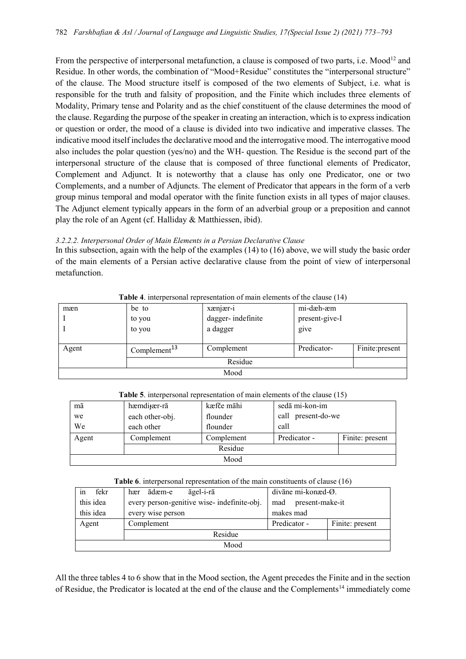From the perspective of interpersonal metafunction, a clause is composed of two parts, i.e. Mood<sup>12</sup> and Residue. In other words, the combination of "Mood+Residue" constitutes the "interpersonal structure" of the clause. The Mood structure itself is composed of the two elements of Subject, i.e. what is responsible for the truth and falsity of proposition, and the Finite which includes three elements of Modality, Primary tense and Polarity and as the chief constituent of the clause determines the mood of the clause. Regarding the purpose of the speaker in creating an interaction, which is to express indication or question or order, the mood of a clause is divided into two indicative and imperative classes. The indicative mood itself includes the declarative mood and the interrogative mood. The interrogative mood also includes the polar question (yes/no) and the WH- question. The Residue is the second part of the interpersonal structure of the clause that is composed of three functional elements of Predicator, Complement and Adjunct. It is noteworthy that a clause has only one Predicator, one or two Complements, and a number of Adjuncts. The element of Predicator that appears in the form of a verb group minus temporal and modal operator with the finite function exists in all types of major clauses. The Adjunct element typically appears in the form of an adverbial group or a preposition and cannot play the role of an Agent (cf. Halliday & Matthiessen, ibid).

#### *3.2.2.2. Interpersonal Order of Main Elements in a Persian Declarative Clause*

In this subsection, again with the help of the examples (14) to (16) above, we will study the basic order of the main elements of a Persian active declarative clause from the point of view of interpersonal metafunction.

|       |                          | <b>Thore</b> is interpersonal representation of main elements of the elatise (1.1) |                |                 |
|-------|--------------------------|------------------------------------------------------------------------------------|----------------|-----------------|
| mæn   | be to                    | xænjær-i                                                                           | mi-dæh-æm      |                 |
|       | to you                   | dagger-indefinite                                                                  | present-give-I |                 |
|       | to you                   | a dagger                                                                           | give           |                 |
|       |                          |                                                                                    |                |                 |
| Agent | Complement <sup>13</sup> | Complement                                                                         | Predicator-    | Finite: present |
|       |                          | Residue                                                                            |                |                 |
| Mood  |                          |                                                                                    |                |                 |
|       |                          |                                                                                    |                |                 |

**Table 4** interpersonal representation of main elements of the clause (14)

|  |  | Table 5. interpersonal representation of main elements of the clause (15) |  |  |  |  |
|--|--|---------------------------------------------------------------------------|--|--|--|--|
|--|--|---------------------------------------------------------------------------|--|--|--|--|

| mā    | hæmdi <sub>t</sub> ær-rā | kæfče māhi | sedā mi-kon-im     |                 |
|-------|--------------------------|------------|--------------------|-----------------|
| we    | each other-obj.          | flounder   | call present-do-we |                 |
| We    | each other               | flounder   | call               |                 |
| Agent | Complement               | Complement | Predicator -       | Finite: present |
|       |                          | Residue    |                    |                 |
| Mood  |                          |            |                    |                 |

| <b>Table 6.</b> interpersonal representation of the main constituents of clause (16) |  |  |  |  |  |
|--------------------------------------------------------------------------------------|--|--|--|--|--|
|--------------------------------------------------------------------------------------|--|--|--|--|--|

| fekr<br>in | āgel-i-rā<br>ādæm-e<br>hær                 | divāne mi-konæd-Ø.              |  |
|------------|--------------------------------------------|---------------------------------|--|
| this idea  | every person-genitive wise-indefinite-obj. | present-make-it<br>mad          |  |
| this idea  | every wise person                          | makes mad                       |  |
| Agent      | Complement                                 | Predicator -<br>Finite: present |  |
|            | Residue                                    |                                 |  |
| Mood       |                                            |                                 |  |

All the three tables 4 to 6 show that in the Mood section, the Agent precedes the Finite and in the section of Residue, the Predicator is located at the end of the clause and the Complements<sup>14</sup> immediately come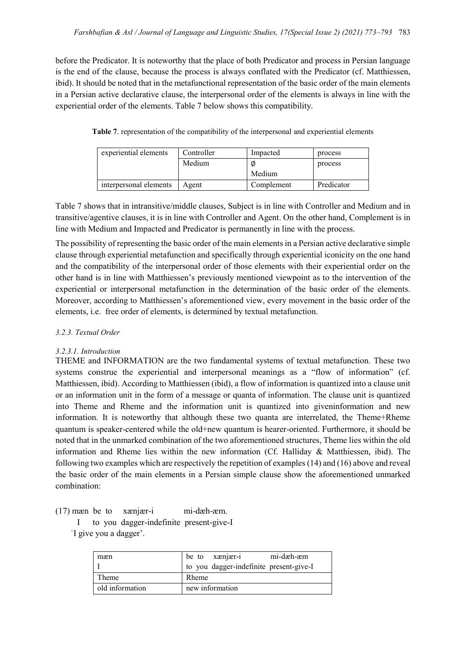before the Predicator. It is noteworthy that the place of both Predicator and process in Persian language is the end of the clause, because the process is always conflated with the Predicator (cf. Matthiessen, ibid). It should be noted that in the metafunctional representation of the basic order of the main elements in a Persian active declarative clause, the interpersonal order of the elements is always in line with the experiential order of the elements. Table 7 below shows this compatibility.

| Table 7. representation of the compatibility of the interpersonal and experiential elements |  |  |  |
|---------------------------------------------------------------------------------------------|--|--|--|
|---------------------------------------------------------------------------------------------|--|--|--|

| experiential elements  | Controller | Impacted   | process    |
|------------------------|------------|------------|------------|
|                        | Medium     | Ø          | process    |
|                        |            | Medium     |            |
| interpersonal elements | Agent      | Complement | Predicator |

Table 7 shows that in intransitive/middle clauses, Subject is in line with Controller and Medium and in transitive/agentive clauses, it is in line with Controller and Agent. On the other hand, Complement is in line with Medium and Impacted and Predicator is permanently in line with the process.

The possibility of representing the basic order of the main elements in a Persian active declarative simple clause through experiential metafunction and specifically through experiential iconicity on the one hand and the compatibility of the interpersonal order of those elements with their experiential order on the other hand is in line with Matthiessen's previously mentioned viewpoint as to the intervention of the experiential or interpersonal metafunction in the determination of the basic order of the elements. Moreover, according to Matthiessen's aforementioned view, every movement in the basic order of the elements, i.e. free order of elements, is determined by textual metafunction.

### *3.2.3. Textual Order*

### *3.2.3.1. Introduction*

THEME and INFORMATION are the two fundamental systems of textual metafunction. These two systems construe the experiential and interpersonal meanings as a "flow of information" (cf. Matthiessen, ibid). According to Matthiessen (ibid), a flow of information is quantized into a clause unit or an information unit in the form of a message or quanta of information. The clause unit is quantized into Theme and Rheme and the information unit is quantized into giveninformation and new information. It is noteworthy that although these two quanta are interrelated, the Theme+Rheme quantum is speaker-centered while the old+new quantum is hearer-oriented. Furthermore, it should be noted that in the unmarked combination of the two aforementioned structures, Theme lies within the old information and Rheme lies within the new information (Cf. Halliday & Matthiessen, ibid). The following two examples which are respectively the repetition of examples (14) and (16) above and reveal the basic order of the main elements in a Persian simple clause show the aforementioned unmarked combination:

(17) mæn be to xænjær-i mi-dæh-æm.

 I to you dagger-indefinite present-give-I ʿI give you a dagger'.

| mæn             | mi-dæh-æm<br>be to xenjær-i             |
|-----------------|-----------------------------------------|
|                 | to you dagger-indefinite present-give-I |
| Theme           | Rheme                                   |
| old information | new information                         |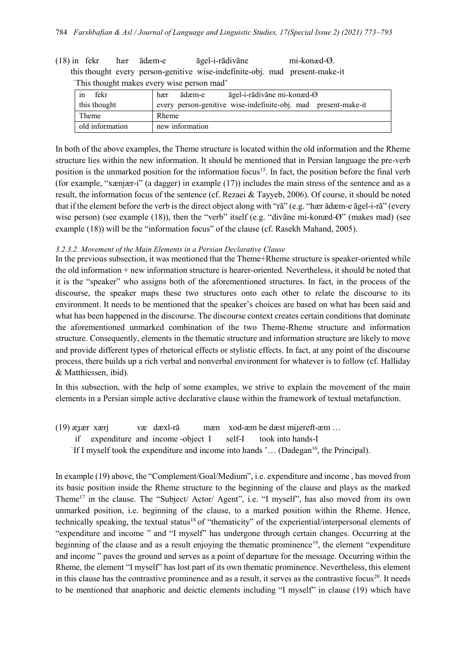(18) in fekr hær ādæm-e āgel-i-rādivāne mi-konæd-Ø. this thought every person-genitive wise-indefinite-obj. mad present-make-it ʿThis thought makes every wise person mad'

| fekr<br>1n      | āgel-i-rādivāne mi-konæd-Ø<br>ādæm-e<br>hær                    |
|-----------------|----------------------------------------------------------------|
| this thought    | every person-genitive wise-indefinite-obj. mad present-make-it |
| Theme           | Rheme                                                          |
| old information | new information                                                |

In both of the above examples, the Theme structure is located within the old information and the Rheme structure lies within the new information. It should be mentioned that in Persian language the pre-verb position is the unmarked position for the information focus<sup>15</sup>. In fact, the position before the final verb (for example, "xænjær-i" (a dagger) in example (17)) includes the main stress of the sentence and as a result, the information focus of the sentence (cf. Rezaei & Tayyeb, 2006). Of course, it should be noted that if the element before the verb is the direct object along with "rā" (e.g. "hær ādæm-e āgel-i-rā" (every wise person) (see example (18)), then the "verb" itself (e.g. "divane mi-konæd-Ø" (makes mad) (see example (18)) will be the "information focus" of the clause (cf. Rasekh Mahand, 2005).

#### *3.2.3.2. Movement of the Main Elements in a Persian Declarative Clause*

In the previous subsection, it was mentioned that the Theme+Rheme structure is speaker-oriented while the old information + new information structure is hearer-oriented. Nevertheless, it should be noted that it is the "speaker" who assigns both of the aforementioned structures. In fact, in the process of the discourse, the speaker maps these two structures onto each other to relate the discourse to its environment. It needs to be mentioned that the speaker's choices are based on what has been said and what has been happened in the discourse. The discourse context creates certain conditions that dominate the aforementioned unmarked combination of the two Theme-Rheme structure and information structure. Consequently, elements in the thematic structure and information structure are likely to move and provide different types of rhetorical effects or stylistic effects. In fact, at any point of the discourse process, there builds up a rich verbal and nonverbal environment for whatever is to follow (cf. Halliday & Matthiessen, ibid).

In this subsection, with the help of some examples, we strive to explain the movement of the main elements in a Persian simple active declarative clause within the framework of textual metafunction.

- $(19)$  æ $_{\text{year}}$  xærj væ dæxl-rā mæn xod-æm be dæst mi $_{\text{green}}$  men  $_{\text{mod}}$ 
	- if expenditure [and](https://dictionary.abadis.ir/entofa/i/income-and-expenditure/) income -object I self-I took into hands-I
	- $\lceil$  If I myself took the expenditure and income into hands  $\lceil$  ... (Dadegan<sup>16</sup>, the Principal).

In example (19) above, the "Complement/Goal/Medium", i.e. expenditure and [income ,](https://dictionary.abadis.ir/entofa/i/income-and-expenditure/) has moved from its basic position inside the Rheme structure to the beginning of the clause and plays as the marked Theme<sup>17</sup> in the clause. The "Subject/ Actor/ Agent", i.e. "I myself", has also moved from its own unmarked position, i.e. beginning of the clause, to a marked position within the Rheme. Hence, technically speaking, the textual status<sup>18</sup> of "thematicity" of the experiential/interpersonal elements of "expenditure and [income "](https://dictionary.abadis.ir/entofa/i/income-and-expenditure/) and "I myself" has undergone through certain changes. Occurring at the beginning of the clause and as a result enjoying the thematic prominence<sup>19</sup>, the element "expenditure" and [income "](https://dictionary.abadis.ir/entofa/i/income-and-expenditure/) paves the ground and serves as a point of departure for the message. Occurring within the Rheme, the element "I myself" has lost part of its own thematic prominence. Nevertheless, this element in this clause has the contrastive prominence and as a result, it serves as the contrastive focus<sup>20</sup>. It needs to be mentioned that anaphoric and deictic elements including "I myself" in clause (19) which have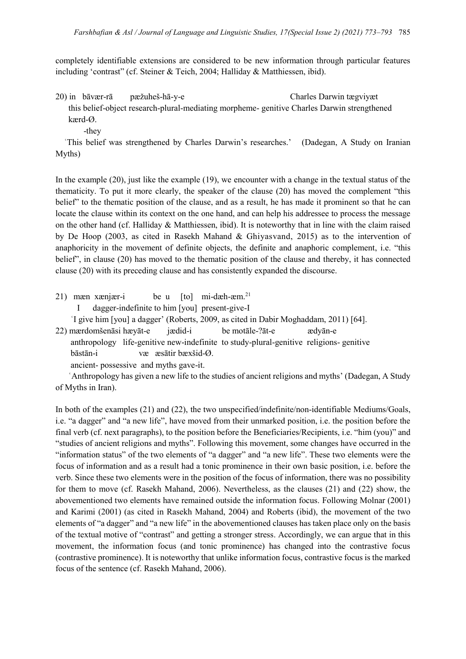completely identifiable extensions are considered to be new information through particular features including 'contrast" (cf. Steiner & Teich, 2004; Halliday & Matthiessen, ibid).

20) in bāvær-rā pæžuheš-hā-y-e Charles Darwin tægviyæt

 this belief-object research-plural-mediating morpheme- genitive Charles Darwin strengthened kærd-Ø.

-they

 ʿThis belief was strengthened by Charles Darwin's researches.' (Dadegan, A Study on Iranian Myths)

In the example (20), just like the example (19), we encounter with a change in the textual status of the thematicity. To put it more clearly, the speaker of the clause (20) has moved the complement "this belief" to the thematic position of the clause, and as a result, he has made it prominent so that he can locate the clause within its context on the one hand, and can help his addressee to process the message on the other hand (cf. Halliday & Matthiessen, ibid). It is noteworthy that in line with the claim raised by De Hoop (2003, as cited in Rasekh Mahand & Ghiyasvand, 2015) as to the intervention of anaphoricity in the movement of definite objects, the definite and anaphoric complement, i.e. "this belief", in clause (20) has moved to the thematic position of the clause and thereby, it has connected clause (20) with its preceding clause and has consistently expanded the discourse.

- 21) mæn xænjær-i be u  $[t_0]$  mi-dæh-æm.<sup>21</sup>
	- I dagger-indefinite to him [you] present-give-I
	- ʿI give him [you] a dagger' (Roberts, 2009, as cited in Dabir Moghaddam, 2011) [64].

22) mærdomšenāsi hæyāt-e jædid-i be motāle-?āt-e ædyān-e

 anthropology life-genitive new-indefinite to study-plural-genitive religions- genitive bāstān-i væ æsātir bæxšid-Ø.

ancient- possessive and myths gave-it.

 ʿAnthropology has given a new life to the studies of ancient religions and myths' (Dadegan, A Study of Myths in Iran).

In both of the examples (21) and (22), the two unspecified/indefinite/non-identifiable Mediums/Goals, i.e. "a dagger" and "a new life", have moved from their unmarked position, i.e. the position before the final verb (cf. next paragraphs), to the position before the Beneficiaries/Recipients, i.e. "him (you)" and "studies of ancient religions and myths". Following this movement, some changes have occurred in the "information status" of the two elements of "a dagger" and "a new life". These two elements were the focus of information and as a result had a tonic prominence in their own basic position, i.e. before the verb. Since these two elements were in the position of the focus of information, there was no possibility for them to move (cf. Rasekh Mahand, 2006). Nevertheless, as the clauses (21) and (22) show, the abovementioned two elements have remained outside the information focus. Following Molnar (2001) and Karimi (2001) (as cited in Rasekh Mahand, 2004) and Roberts (ibid), the movement of the two elements of "a dagger" and "a new life" in the abovementioned clauses has taken place only on the basis of the textual motive of "contrast" and getting a stronger stress. Accordingly, we can argue that in this movement, the information focus (and tonic prominence) has changed into the contrastive focus (contrastive prominence). It is noteworthy that unlike information focus, contrastive focus is the marked focus of the sentence (cf. Rasekh Mahand, 2006).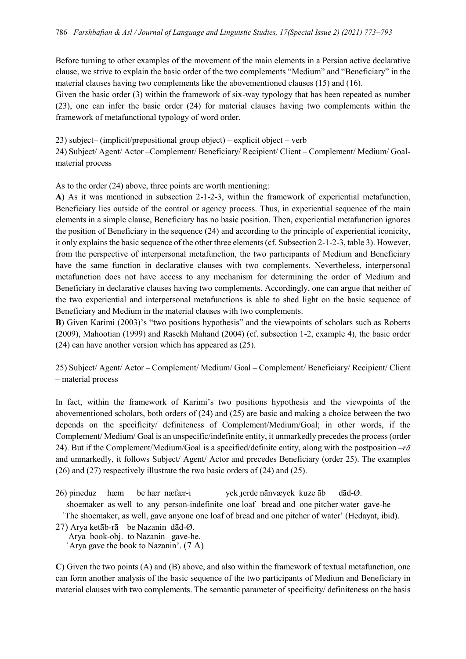Before turning to other examples of the movement of the main elements in a Persian active declarative clause, we strive to explain the basic order of the two complements "Medium" and "Beneficiary" in the material clauses having two complements like the abovementioned clauses (15) and (16).

Given the basic order (3) within the framework of six-way typology that has been repeated as number (23), one can infer the basic order (24) for material clauses having two complements within the framework of metafunctional typology of word order.

23) subject– (implicit/prepositional group object) – explicit object – verb 24) Subject/ Agent/ Actor –Complement/ Beneficiary/ Recipient/ Client – Complement/ Medium/ Goalmaterial process

As to the order (24) above, three points are worth mentioning:

**A**) As it was mentioned in subsection 2-1-2-3, within the framework of experiential metafunction, Beneficiary lies outside of the control or agency process. Thus, in experiential sequence of the main elements in a simple clause, Beneficiary has no basic position. Then, experiential metafunction ignores the position of Beneficiary in the sequence (24) and according to the principle of experiential iconicity, it only explains the basic sequence of the other three elements (cf. Subsection 2-1-2-3, table 3). However, from the perspective of interpersonal metafunction, the two participants of Medium and Beneficiary have the same function in declarative clauses with two complements. Nevertheless, interpersonal metafunction does not have access to any mechanism for determining the order of Medium and Beneficiary in declarative clauses having two complements. Accordingly, one can argue that neither of the two experiential and interpersonal metafunctions is able to shed light on the basic sequence of Beneficiary and Medium in the material clauses with two complements.

**B**) Given Karimi (2003)'s "two positions hypothesis" and the viewpoints of scholars such as Roberts (2009), Mahootian (1999) and Rasekh Mahand (2004) (cf. subsection 1-2, example 4), the basic order (24) can have another version which has appeared as (25).

25) Subject/ Agent/ Actor – Complement/ Medium/ Goal – Complement/ Beneficiary/ Recipient/ Client – material process

In fact, within the framework of Karimi's two positions hypothesis and the viewpoints of the abovementioned scholars, both orders of (24) and (25) are basic and making a choice between the two depends on the specificity/ definiteness of Complement/Medium/Goal; in other words, if the Complement/ Medium/ Goal is an unspecific/indefinite entity, it unmarkedly precedes the process (order 24). But if the Complement/Medium/Goal is a specified/definite entity, along with the postposition  $-r\bar{a}$ and unmarkedly, it follows Subject/ Agent/ Actor and precedes Beneficiary (order 25). The examples (26) and (27) respectively illustrate the two basic orders of (24) and (25).

26) pineduz hæm be hær næfær-i yek ɟerde nānvæyek kuze āb dād-Ø. shoemaker as well to any person-indefinite one loaf bread and one pitcher water gave-he ʿThe shoemaker, as well, gave anyone one loaf of bread and one pitcher of water' (Hedayat, ibid). 27) Arya ketāb-rā be Nazanin dād-Ø.

 Arya book-obj. to Nazanin gave-he. ʿArya gave the book to Nazanin'. (7 A)

**C**) Given the two points (A) and (B) above, and also within the framework of textual metafunction, one can form another analysis of the basic sequence of the two participants of Medium and Beneficiary in material clauses with two complements. The semantic parameter of specificity/ definiteness on the basis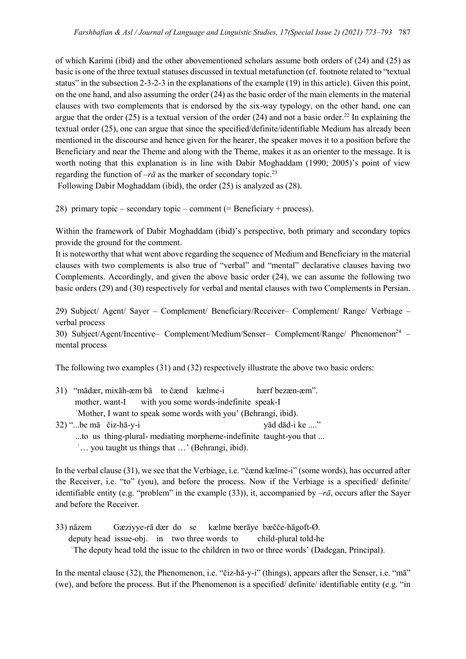of which Karimi (ibid) and the other abovementioned scholars assume both orders of (24) and (25) as basic is one of the three textual statuses discussed in textual metafunction (cf. footnote related to "textual status" in the subsection 2-3-2-3 in the explanations of the example (19) in this article). Given this point, on the one hand, and also assuming the order (24) as the basic order of the main elements in the material clauses with two complements that is endorsed by the six-way typology, on the other hand, one can argue that the order (25) is a textual version of the order (24) and not a basic order.<sup>22</sup> In explaining the textual order (25), one can argue that since the specified/definite/identifiable Medium has already been mentioned in the discourse and hence given for the hearer, the speaker moves it to a position before the Beneficiary and near the Theme and along with the Theme, makes it as an orienter to the message. It is worth noting that this explanation is in line with Dabir Moghaddam (1990; 2005)'s point of view regarding the function of  $-r\bar{a}$  as the marker of secondary topic.<sup>23</sup>

Following Dabir Moghaddam (ibid), the order (25) is analyzed as (28).

28) primary topic – secondary topic – comment (= Beneficiary + process).

Within the framework of Dabir Moghaddam (ibid)'s perspective, both primary and secondary topics provide the ground for the comment.

It is noteworthy that what went above regarding the sequence of Medium and Beneficiary in the material clauses with two complements is also true of "verbal" and "mental" declarative clauses having two Complements. Accordingly, and given the above basic order (24), we can assume the following two basic orders (29) and (30) respectively for verbal and mental clauses with two Complements in Persian.

29) Subject/ Agent/ Sayer – Complement/ Beneficiary/Receiver– Complement/ Range/ Verbiage – verbal process

30) Subject/Agent/Incentive– Complement/Medium/Senser– Complement/Range/ Phenomenon<sup>24</sup> – mental process

The following two examples (31) and (32) respectively illustrate the above two basic orders:

| 31) "mādær, mixāh-æm bā to čænd kælme-i                         |  |  | hærf bezæn-æm". |  |
|-----------------------------------------------------------------|--|--|-----------------|--|
| mother, want-I with you some words-indefinite speak-I           |  |  |                 |  |
| 'Mother, I want to speak some words with you' (Behrangi, ibid). |  |  |                 |  |
| $(32)$ <sup>44</sup> hema čiz ha vi                             |  |  | red dad i ke    |  |

32) "...be māčiz-hā-y-i yād dād-i ke ...." ...to us thing-plural- mediating morpheme-indefinite taught-you that ... ʿ… you taught us things that …' (Behrangi, ibid).

In the verbal clause (31), we see that the Verbiage, i.e. "čænd kælme-i" (some words), has occurred after the Receiver, i.e. "to" (you), and before the process. Now if the Verbiage is a specified/ definite/ identifiable entity (e.g. "problem" in the example (33)), it, accompanied by  $-r\bar{a}$ , occurs after the Sayer and before the Receiver.

33) nāzem Gæziyye-rā dær do se kælme bærāye bæčče-hāgoft-Ø. deputy head issue-obj. in two three words to child-plural told-he ʿThe deputy head told the issue to the children in two or three words' (Dadegan, Principal).

In the mental clause (32), the Phenomenon, i.e. "čiz-hā-y-i" (things), appears after the Senser, i.e. "mā" (we), and before the process. But if the Phenomenon is a specified/ definite/ identifiable entity (e.g. "in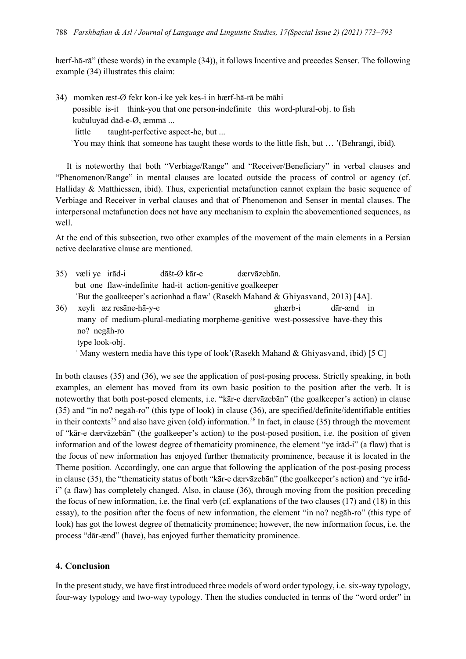hærf-hā-rā" (these words) in the example (34)), it follows Incentive and precedes Senser. The following example (34) illustrates this claim:

- 34) momken æst-Ø fekr kon-i ke yek kes-i in hærf-hā-rā be māhi possible is-it think-you that one person-indefinite this word-plural-obj. to fish kučuluyād dād-e-Ø, æmmā ...
	- little taught-perfective aspect-he, but ...
	- ʿYou may think that someone has taught these words to the little fish, but … '(Behrangi, ibid).

It is noteworthy that both "Verbiage/Range" and "Receiver/Beneficiary" in verbal clauses and "Phenomenon/Range" in mental clauses are located outside the process of control or agency (cf. Halliday & Matthiessen, ibid). Thus, experiential metafunction cannot explain the basic sequence of Verbiage and Receiver in verbal clauses and that of Phenomenon and Senser in mental clauses. The interpersonal metafunction does not have any mechanism to explain the abovementioned sequences, as well.

At the end of this subsection, two other examples of the movement of the main elements in a Persian active declarative clause are mentioned.

35) væli ye irād-i dāšt-Ø kār-e dærvāzebān. but one flaw-indefinite had-it action-genitive goalkeeper ʿBut the goalkeeper's actionhad a flaw' (Rasekh Mahand & Ghiyasvand, 2013) [4A]. 36) xeyli æz resāne-hā-y-e ghærb-i dār-ænd in many of medium-plural-mediating morpheme-genitive west-possessive have-they this no? negāh-ro type look-obj.

ʿ Many western media have this type of look'(Rasekh Mahand & Ghiyasvand, ibid) [5 C]

In both clauses (35) and (36), we see the application of post-posing process. Strictly speaking, in both examples, an element has moved from its own basic position to the position after the verb. It is noteworthy that both post-posed elements, i.e. "kār-e dærvāzebān" (the goalkeeper's action) in clause (35) and "in no? negāh-ro" (this type of look) in clause (36), are specified/definite/identifiable entities in their contexts<sup>25</sup> and also have given (old) information.<sup>26</sup> In fact, in clause (35) through the movement of "kār-e dærvāzebān" (the goalkeeper's action) to the post-posed position, i.e. the position of given information and of the lowest degree of thematicity prominence, the element "ye irād-i" (a flaw) that is the focus of new information has enjoyed further thematicity prominence, because it is located in the Theme position. Accordingly, one can argue that following the application of the post-posing process in clause (35), the "thematicity status of both "kār-e dærvāzebān" (the goalkeeper's action) and "ye irādi" (a flaw) has completely changed. Also, in clause (36), through moving from the position preceding the focus of new information, i.e. the final verb (cf. explanations of the two clauses (17) and (18) in this essay), to the position after the focus of new information, the element "in no? negāh-ro" (this type of look) has got the lowest degree of thematicity prominence; however, the new information focus, i.e. the process "dār-ænd" (have), has enjoyed further thematicity prominence.

### **4. Conclusion**

In the present study, we have first introduced three models of word order typology, i.e. six-way typology, four-way typology and two-way typology. Then the studies conducted in terms of the "word order" in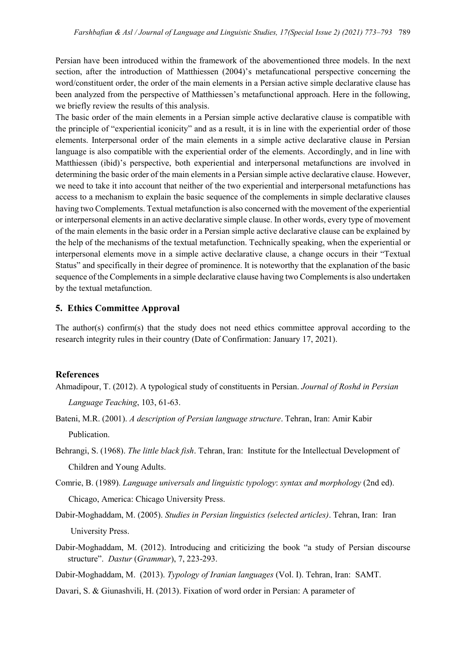Persian have been introduced within the framework of the abovementioned three models. In the next section, after the introduction of Matthiessen (2004)'s metafuncational perspective concerning the word/constituent order, the order of the main elements in a Persian active simple declarative clause has been analyzed from the perspective of Matthiessen's metafunctional approach. Here in the following, we briefly review the results of this analysis.

The basic order of the main elements in a Persian simple active declarative clause is compatible with the principle of "experiential iconicity" and as a result, it is in line with the experiential order of those elements. Interpersonal order of the main elements in a simple active declarative clause in Persian language is also compatible with the experiential order of the elements. Accordingly, and in line with Matthiessen (ibid)'s perspective, both experiential and interpersonal metafunctions are involved in determining the basic order of the main elements in a Persian simple active declarative clause. However, we need to take it into account that neither of the two experiential and interpersonal metafunctions has access to a mechanism to explain the basic sequence of the complements in simple declarative clauses having two Complements. Textual metafunction is also concerned with the movement of the experiential or interpersonal elements in an active declarative simple clause. In other words, every type of movement of the main elements in the basic order in a Persian simple active declarative clause can be explained by the help of the mechanisms of the textual metafunction. Technically speaking, when the experiential or interpersonal elements move in a simple active declarative clause, a change occurs in their "Textual Status" and specifically in their degree of prominence. It is noteworthy that the explanation of the basic sequence of the Complements in a simple declarative clause having two Complements is also undertaken by the textual metafunction.

#### **5. Ethics Committee Approval**

The author(s) confirm(s) that the study does not need ethics committee approval according to the research integrity rules in their country (Date of Confirmation: January 17, 2021).

#### **References**

- Ahmadipour, T. (2012). A typological study of constituents in Persian. *Journal of Roshd in Persian Language Teaching*, 103, 61-63.
- Bateni, M.R. (2001). *A description of Persian language structure*. Tehran, Iran: Amir Kabir Publication.
- Behrangi, S. (1968). *The little black fish*. Tehran, Iran: Institute for the Intellectual Development of Children and Young Adults.
- Comrie, B. (1989). *Language universals and linguistic typology*: *syntax and morphology* (2nd ed). Chicago, America: Chicago University Press.
- Dabir-Moghaddam, M. (2005). *Studies in Persian linguistics (selected articles)*. Tehran, Iran: Iran University Press.
- Dabir-Moghaddam, M. (2012). Introducing and criticizing the book "a study of Persian discourse structure". *Dastur* (*Grammar*), 7, 223-293.
- Dabir-Moghaddam, M. (2013). *Typology of Iranian languages* (Vol. I). Tehran, Iran: SAMT.
- Davari, S. & Giunashvili, H. (2013). Fixation of word order in Persian: A parameter of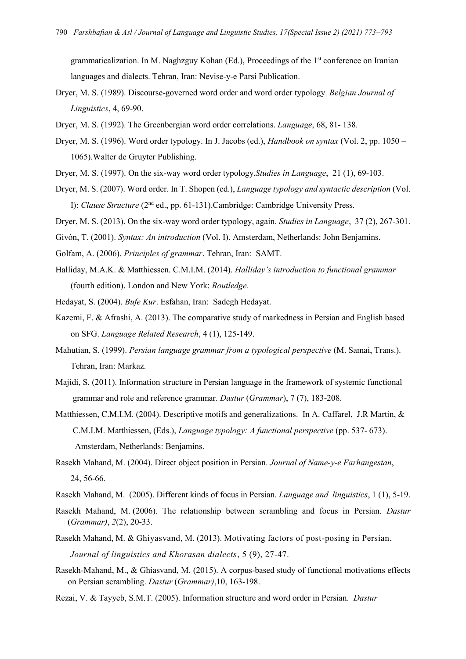grammaticalization. In M. Naghzguy Kohan (Ed.), Proceedings of the 1st conference on Iranian languages and dialects. Tehran, Iran: Nevise-y-e Parsi Publication.

- Dryer, M. S. (1989). Discourse-governed word order and word order typology. *Belgian Journal of Linguistics*, 4, 69-90.
- Dryer, M. S. (1992). The Greenbergian word order correlations. *Language*, 68, 81- 138.
- Dryer, M. S. (1996). Word order typology. In J. Jacobs (ed.), *Handbook on syntax* (Vol. 2, pp. 1050 1065)*.*Walter de Gruyter Publishing.
- Dryer, M. S. (1997). On the six-way word order typology.*Studies in Language*, 21 (1), 69-103.
- Dryer, M. S. (2007). Word order. In T. Shopen (ed.), *Language typology and syntactic description* (Vol. I): *Clause Structure* (2nd ed., pp. 61-131).Cambridge: Cambridge University Press.
- Dryer, M. S. (2013). On the six-way word order typology, again. *Studies in Language*, 37 (2), 267-301.
- Givón, T. (2001). *Syntax: An introduction* (Vol. I). Amsterdam, Netherlands: John Benjamins.
- Golfam, A. (2006). *Principles of grammar*. Tehran, Iran: SAMT.
- Halliday, M.A.K. & Matthiessen. C.M.I.M. (2014). *Halliday's introduction to functional grammar* (fourth edition). London and New York: *Routledge*.
- Hedayat, S. (2004). *Bufe Kur*. Esfahan, Iran: Sadegh Hedayat.
- Kazemi, F. & Afrashi, A. (2013). The comparative study of markedness in Persian and English based on SFG. *Language Related Research*, 4 (1), 125-149.
- Mahutian, S. (1999). *Persian language grammar from a typological perspective* (M. Samai, Trans.). Tehran, Iran: Markaz.
- Majidi, S. (2011). Information structure in Persian language in the framework of systemic functional grammar and role and reference grammar. *Dastur* (*Grammar*), 7 (7), 183-208.
- Matthiessen, C.M.I.M. (2004). Descriptive motifs and generalizations. In A. Caffarel, J.R Martin, & C.M.I.M. Matthiessen, (Eds.), *Language typology: A functional perspective* (pp. 537- 673). Amsterdam, Netherlands: Benjamins.
- Rasekh Mahand, M. (2004). Direct object position in Persian. *Journal of Name-y-e Farhangestan*, 24, 56-66.
- Rasekh Mahand, M. (2005). Different kinds of focus in Persian. *Language and linguistics*, 1 (1), 5-19.
- Rasekh Mahand, M. (2006). The relationship between scrambling and focus in Persian. *Dastur* (*Grammar)*, *2*(2), 20-33.
- Rasekh Mahand, M. & Ghiyasvand, M. (2013). Motivating factors of post-posing in Persian.  *Journal of linguistics and Khorasan dialects*, 5 (9), 27-47.
- Rasekh-Mahand, M., & Ghiasvand, M. (2015). A corpus-based study of functional motivations effects on Persian scrambling. *Dastur* (*Grammar)*,10, 163-198.
- Rezai, V. & Tayyeb, S.M.T. (2005). Information structure and word order in Persian. *Dastur*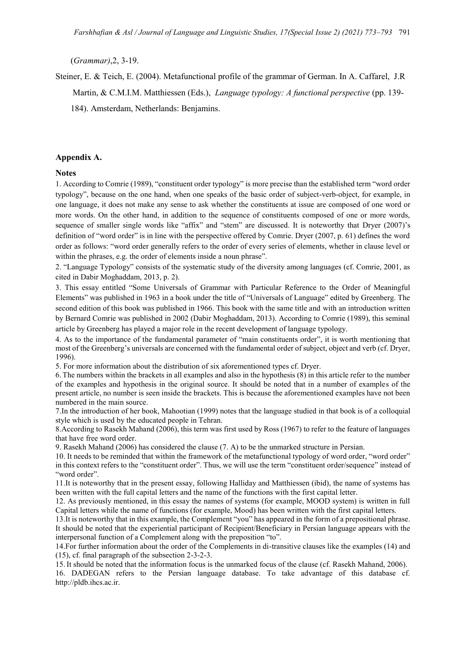(*Grammar)*,2, 3-19.

Steiner, E. & Teich, E. (2004). Metafunctional profile of the grammar of German. In A. Caffarel, J.R Martin, & C.M.I.M. Matthiessen (Eds.), *Language typology: A functional perspective* (pp. 139- 184). Amsterdam, Netherlands: Benjamins.

#### **Appendix A.**

#### **Notes**

1. According to Comrie (1989), "constituent order typology" is more precise than the established term "word order typology", because on the one hand, when one speaks of the basic order of subject-verb-object, for example, in one language, it does not make any sense to ask whether the constituents at issue are composed of one word or more words. On the other hand, in addition to the sequence of constituents composed of one or more words, sequence of smaller single words like "affix" and "stem" are discussed. It is noteworthy that Dryer (2007)'s definition of "word order" is in line with the perspective offered by Comrie. Dryer (2007, p. 61) defines the word order as follows: "word order generally refers to the order of every series of elements, whether in clause level or within the phrases, e.g. the order of elements inside a noun phrase".

2. "Language Typology" consists of the systematic study of the diversity among languages (cf. Comrie, 2001, as cited in Dabir Moghaddam, 2013, p. 2).

3. This essay entitled "Some Universals of Grammar with Particular Reference to the Order of Meaningful Elements" was published in 1963 in a book under the title of "Universals of Language" edited by Greenberg. The second edition of this book was published in 1966. This book with the same title and with an introduction written by Bernard Comrie was published in 2002 (Dabir Moghaddam, 2013). According to Comrie (1989), this seminal article by Greenberg has played a major role in the recent development of language typology.

4. As to the importance of the fundamental parameter of "main constituents order", it is worth mentioning that most of the Greenberg's universals are concerned with the fundamental order of subject, object and verb (cf. Dryer, 1996).

5. For more information about the distribution of six aforementioned types cf. Dryer.

6.The numbers within the brackets in all examples and also in the hypothesis (8) in this article refer to the number of the examples and hypothesis in the original source. It should be noted that in a number of examples of the present article, no number is seen inside the brackets. This is because the aforementioned examples have not been numbered in the main source.

7.In the introduction of her book, Mahootian (1999) notes that the language studied in that book is of a colloquial style which is used by the educated people in Tehran.

8.According to Rasekh Mahand (2006), this term was first used by Ross (1967) to refer to the feature of languages that have free word order.

9. Rasekh Mahand (2006) has considered the clause (7. A) to be the unmarked structure in Persian.

10. It needs to be reminded that within the framework of the metafunctional typology of word order, "word order" in this context refers to the "constituent order". Thus, we will use the term "constituent order/sequence" instead of "word order".

11.It is noteworthy that in the present essay, following Halliday and Matthiessen (ibid), the name of systems has been written with the full capital letters and the name of the functions with the first capital letter.

12. As previously mentioned, in this essay the names of systems (for example, MOOD system) is written in full Capital letters while the name of functions (for example, Mood) has been written with the first capital letters.

13.It is noteworthy that in this example, the Complement "you" has appeared in the form of a prepositional phrase. It should be noted that the experiential participant of Recipient/Beneficiary in Persian language appears with the interpersonal function of a Complement along with the preposition "to".

14.For further information about the order of the Complements in di-transitive clauses like the examples (14) and (15), cf. final paragraph of the subsection 2-3-2-3.

15.It should be noted that the information focus is the unmarked focus of the clause (cf. Rasekh Mahand, 2006). 16. DADEGAN refers to the Persian language database. To take advantage of this database cf.

[http://pldb.ihcs.ac.ir.](http://pldb.ihcs.ac.ir/)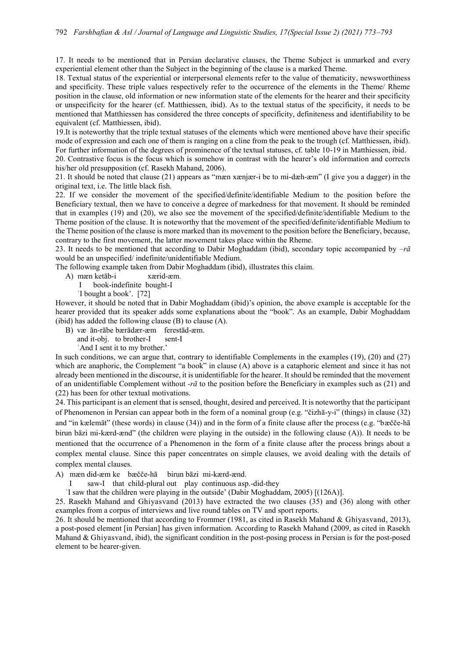17. It needs to be mentioned that in Persian declarative clauses, the Theme Subject is unmarked and every experiential element other than the Subject in the beginning of the clause is a marked Theme.

18. Textual status of the experiential or interpersonal elements refer to the value of thematicity, newsworthiness and specificity. These triple values respectively refer to the occurrence of the elements in the Theme/ Rheme position in the clause, old information or new information state of the elements for the hearer and their specificity or unspecificity for the hearer (cf. Matthiessen, ibid). As to the textual status of the specificity, it needs to be mentioned that Matthiessen has considered the three concepts of specificity, definiteness and identifiability to be equivalent (cf. Matthiessen, ibid).

19.It is noteworthy that the triple textual statuses of the elements which were mentioned above have their specific mode of expression and each one of them is ranging on a cline from the peak to the trough (cf. Matthiessen, ibid). For further information of the degrees of prominence of the textual statuses, cf. table 10-19 in Matthiessen, ibid.

20. Contrastive focus is the focus which is somehow in contrast with the hearer's old information and corrects his/her old presupposition (cf. Rasekh Mahand, 2006).

21. It should be noted that clause (21) appears as "mæn xænjær-i be to mi-dæh-æm" (I give you a dagger) in the original text, i.e. The little black fish.

22. If we consider the movement of the specified/definite/identifiable Medium to the position before the Beneficiary textual, then we have to conceive a degree of markedness for that movement. It should be reminded that in examples (19) and (20), we also see the movement of the specified/definite/identifiable Medium to the Theme position of the clause. It is noteworthy that the movement of the specified/definite/identifiable Medium to the Theme position of the clause is more marked than its movement to the position before the Beneficiary, because, contrary to the first movement, the latter movement takes place within the Rheme.

23. It needs to be mentioned that according to Dabir Moghaddam (ibid), secondary topic accompanied by *–rā*  would be an unspecified/ indefinite/unidentifiable Medium.

The following example taken from Dabir Moghaddam (ibid), illustrates this claim.

- A) mæn ketāb-i xærid-æm.
	- I book-indefinite bought-I
	- ʿI bought a book'. [72]

However, it should be noted that in Dabir Moghaddam (ibid)'s opinion, the above example is acceptable for the hearer provided that its speaker adds some explanations about the "book". As an example, Dabir Moghaddam (ibid) has added the following clause  $(B)$  to clause  $(A)$ .

- B) væ ān-rābe bærādær-æm ferestād-æm.
	- and it-obj. to brother-I
	- ʿAnd I sent it to my brother.'

In such conditions, we can argue that, contrary to identifiable Complements in the examples (19), (20) and (27) which are anaphoric, the Complement "a book" in clause (A) above is a cataphoric element and since it has not already been mentioned in the discourse, it is unidentifiable for the hearer. It should be reminded that the movement of an unidentifiable Complement without *-rā* to the position before the Beneficiary in examples such as (21) and (22) has been for other textual motivations.

24. This participant is an element that is sensed, thought, desired and perceived. It is noteworthy that the participant of Phenomenon in Persian can appear both in the form of a nominal group (e.g. "čizhā-y-i" (things) in clause (32) and "in kælemāt" (these words) in clause (34)) and in the form of a finite clause after the process (e.g. "bæčče-hā birun bāzi mi-kærd-ænd" (the children were playing in the outside) in the following clause (A)). It needs to be mentioned that the occurrence of a Phenomenon in the form of a finite clause after the process brings about a complex mental clause. Since this paper concentrates on simple clauses, we avoid dealing with the details of complex mental clauses.

A) mæn did-æm ke bæčče-hā birun bāzi mi-kærd-ænd.

saw-I that child-plural out play continuous asp.-did-they

ʿI saw that the children were playing in the outside' (Dabir Moghaddam, 2005) [(126A)].

25. Rasekh Mahand and Ghiyasvand (2013) have extracted the two clauses (35) and (36) along with other examples from a corpus of interviews and live round tables on TV and sport reports.

26. It should be mentioned that according to Frommer (1981, as cited in Rasekh Mahand & Ghiyasvand, 2013), a post-posed element [in Persian] has given information. According to Rasekh Mahand (2009, as cited in Rasekh Mahand & Ghiyasvand, ibid), the significant condition in the post-posing process in Persian is for the post-posed element to be hearer-given.